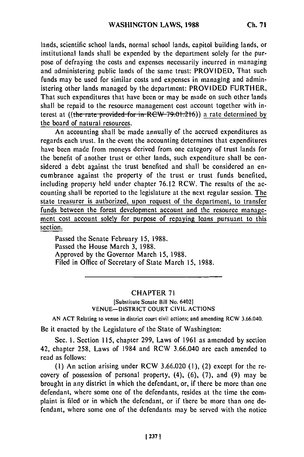lands, scientific school lands, normal school lands, capitol building lands, or institutional lands shall be expended by the department solely for the purpose of defraying the costs and expenses necessarily incurred in managing and administering public lands of the same trust: PROVIDED, That such funds may be used for similar costs and expenses in managing and administering other lands managed by the department: PROVIDED FURTHER, That such expenditures that have been or may be made on such other lands shall be repaid to the resource management cost account together with interest at ((the rate provided for in RCW 79.01.216)) a rate determined by the board of natural resources.

An accounting shall be made annually of the accrued expenditures as regards each trust. In the event the accounting determines that expenditures have been made from moneys derived from one category of trust lands for the benefit of another trust or other lands, such expenditure shall be considered a debt against the trust benefited and shall be considered an encumbrance against the property of the trust or trust funds benefited, including property held under chapter 76.12 RCW. The results of the accounting shall be reported to the legislature at the next regular session. The state treasurer is authorized, upon request of the department, to transfer funds between the forest development account and the resource management cost account solely for purpose of repaying loans pursuant to this section.

Passed the Senate February 15, 1988. Passed the House March 3, 1988. Approved by the Governor March 15, 1988. Filed in Office of Secretary of State March **15,** 1988.

## CHAPTER **71**

[Substitute Senate Bill No. 6402] VENUE-DISTRICT COURT CIVIL ACTIONS

AN ACT Relating to venue in district court civil actions; and amending RCW 3.66.040.

Be it enacted by the Legislature of the State of Washington:

Sec. **1.** Section 115, chapter 299, Laws of 1961 as amended by section 42, chapter 258, Laws of 1984 and RCW 3.66.040 are each amended to read as follows:

**(1)** An action arising under RCW 3.66.020 (I), (2) except for the recovery of possession of personal property,  $(4)$ ,  $(6)$ ,  $(7)$ , and  $(9)$  may be brought in any district in which the defendant, or, if there be more than one defendant, where some one of the defendants, resides at the time the complaint is filed or in which the defendant, or if there be more than one defendant, where some one of the defendants may be served with the notice